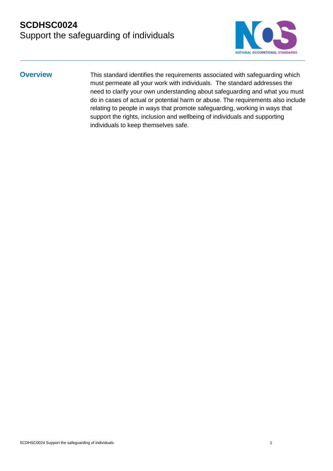

**Overview** This standard identifies the requirements associated with safeguarding which must permeate all your work with individuals. The standard addresses the need to clarify your own understanding about safeguarding and what you must do in cases of actual or potential harm or abuse. The requirements also include relating to people in ways that promote safeguarding, working in ways that support the rights, inclusion and wellbeing of individuals and supporting individuals to keep themselves safe.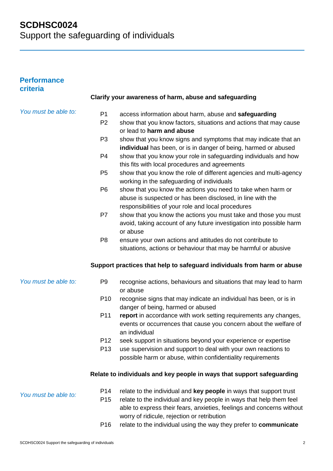### **Performance criteria**

## *You must be able to:*

*You must be able to:*

- P1 access information about harm, abuse and **safeguarding**
- P2 show that you know factors, situations and actions that may cause or lead to **harm and abuse**
- P3 show that you know signs and symptoms that may indicate that an **individual** has been, or is in danger of being, harmed or abused
- P4 show that you know your role in safeguarding individuals and how this fits with local procedures and agreements
- P5 show that you know the role of different agencies and multi-agency working in the safeguarding of individuals
- P6 show that you know the actions you need to take when harm or abuse is suspected or has been disclosed, in line with the responsibilities of your role and local procedures
- P7 show that you know the actions you must take and those you must avoid, taking account of any future investigation into possible harm or abuse
- P8 ensure your own actions and attitudes do not contribute to situations, actions or behaviour that may be harmful or abusive

#### **Support practices that help to safeguard individuals from harm or abuse**

- P9 recognise actions, behaviours and situations that may lead to harm or abuse
	- P10 recognise signs that may indicate an individual has been, or is in danger of being, harmed or abused
	- P11 **report** in accordance with work setting requirements any changes, events or occurrences that cause you concern about the welfare of an individual
	- P12 seek support in situations beyond your experience or expertise
	- P13 use supervision and support to deal with your own reactions to possible harm or abuse, within confidentiality requirements

#### **Relate to individuals and key people in ways that support safeguarding**

- *You must be able to:* P14 relate to the individual and **key people** in ways that support trust P15 relate to the individual and key people in ways that help them feel able to express their fears, anxieties, feelings and concerns without worry of ridicule, rejection or retribution
	- P16 relate to the individual using the way they prefer to **communicate**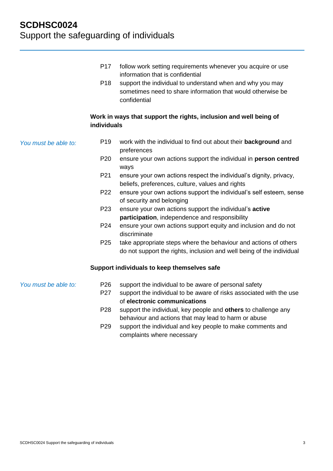|                      | P <sub>17</sub><br>P <sub>18</sub> | follow work setting requirements whenever you acquire or use<br>information that is confidential<br>support the individual to understand when and why you may<br>sometimes need to share information that would otherwise be<br>confidential |
|----------------------|------------------------------------|----------------------------------------------------------------------------------------------------------------------------------------------------------------------------------------------------------------------------------------------|
|                      | individuals                        | Work in ways that support the rights, inclusion and well being of                                                                                                                                                                            |
| You must be able to: | P <sub>19</sub>                    | work with the individual to find out about their background and<br>preferences                                                                                                                                                               |
|                      | P <sub>20</sub>                    | ensure your own actions support the individual in person centred<br>ways                                                                                                                                                                     |
|                      | P21                                | ensure your own actions respect the individual's dignity, privacy,<br>beliefs, preferences, culture, values and rights                                                                                                                       |
|                      | P22                                | ensure your own actions support the individual's self esteem, sense<br>of security and belonging                                                                                                                                             |
|                      | P <sub>23</sub>                    | ensure your own actions support the individual's active<br>participation, independence and responsibility                                                                                                                                    |
|                      | P24                                | ensure your own actions support equity and inclusion and do not<br>discriminate                                                                                                                                                              |
|                      | P <sub>25</sub>                    | take appropriate steps where the behaviour and actions of others<br>do not support the rights, inclusion and well being of the individual                                                                                                    |
|                      |                                    | Support individuals to keep themselves safe                                                                                                                                                                                                  |
| You must be able to: | P <sub>26</sub>                    | support the individual to be aware of personal safety                                                                                                                                                                                        |
|                      | P27                                | support the individual to be aware of risks associated with the use<br>of electronic communications                                                                                                                                          |
|                      | P <sub>28</sub>                    | support the individual, key people and others to challenge any<br>behaviour and actions that may lead to harm or abuse                                                                                                                       |
|                      | P <sub>29</sub>                    | support the individual and key people to make comments and<br>complaints where necessary                                                                                                                                                     |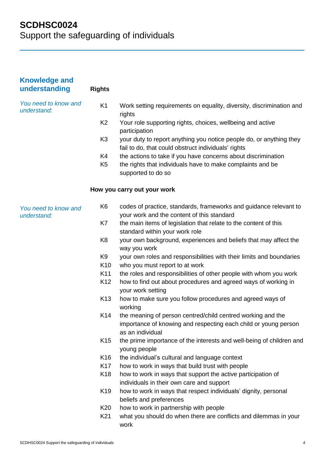| <b>Knowledge and</b><br>understanding | <b>Rights</b>   |                                                                                                                                                    |
|---------------------------------------|-----------------|----------------------------------------------------------------------------------------------------------------------------------------------------|
| You need to know and<br>understand:   | K <sub>1</sub>  | Work setting requirements on equality, diversity, discrimination and<br>rights                                                                     |
|                                       | K <sub>2</sub>  | Your role supporting rights, choices, wellbeing and active<br>participation                                                                        |
|                                       | K <sub>3</sub>  | your duty to report anything you notice people do, or anything they<br>fail to do, that could obstruct individuals' rights                         |
|                                       | K4              | the actions to take if you have concerns about discrimination                                                                                      |
|                                       | K <sub>5</sub>  | the rights that individuals have to make complaints and be<br>supported to do so                                                                   |
|                                       |                 | How you carry out your work                                                                                                                        |
| You need to know and<br>understand:   | K <sub>6</sub>  | codes of practice, standards, frameworks and guidance relevant to<br>your work and the content of this standard                                    |
|                                       | K7              | the main items of legislation that relate to the content of this<br>standard within your work role                                                 |
|                                       | K <sub>8</sub>  | your own background, experiences and beliefs that may affect the<br>way you work                                                                   |
|                                       | K <sub>9</sub>  | your own roles and responsibilities with their limits and boundaries                                                                               |
|                                       | K <sub>10</sub> | who you must report to at work                                                                                                                     |
|                                       | K11             | the roles and responsibilities of other people with whom you work                                                                                  |
|                                       | K12             | how to find out about procedures and agreed ways of working in<br>your work setting                                                                |
|                                       | K <sub>13</sub> | how to make sure you follow procedures and agreed ways of<br>working                                                                               |
|                                       | K14             | the meaning of person centred/child centred working and the<br>importance of knowing and respecting each child or young person<br>as an individual |
|                                       | K <sub>15</sub> | the prime importance of the interests and well-being of children and<br>young people                                                               |
|                                       | K16             | the individual's cultural and language context                                                                                                     |
|                                       | K <sub>17</sub> | how to work in ways that build trust with people                                                                                                   |
|                                       | K <sub>18</sub> | how to work in ways that support the active participation of<br>individuals in their own care and support                                          |
|                                       | K <sub>19</sub> | how to work in ways that respect individuals' dignity, personal<br>beliefs and preferences                                                         |
|                                       | K20             | how to work in partnership with people                                                                                                             |
|                                       | K21             | what you should do when there are conflicts and dilemmas in your<br>work                                                                           |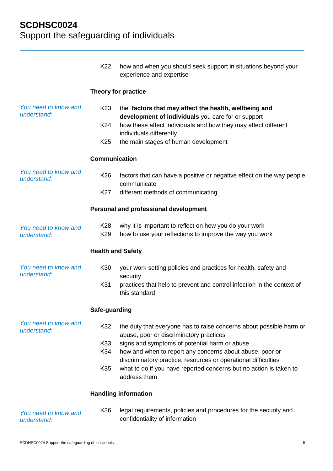|                                     | K <sub>22</sub>          | how and when you should seek support in situations beyond your<br>experience and expertise                                                                                                                                                                        |
|-------------------------------------|--------------------------|-------------------------------------------------------------------------------------------------------------------------------------------------------------------------------------------------------------------------------------------------------------------|
|                                     |                          | Theory for practice                                                                                                                                                                                                                                               |
| You need to know and<br>understand: | K <sub>23</sub>          | the factors that may affect the health, wellbeing and<br>development of individuals you care for or support                                                                                                                                                       |
|                                     | K24                      | how these affect individuals and how they may affect different<br>individuals differently                                                                                                                                                                         |
|                                     | K <sub>25</sub>          | the main stages of human development                                                                                                                                                                                                                              |
|                                     | <b>Communication</b>     |                                                                                                                                                                                                                                                                   |
| You need to know and<br>understand: | K <sub>26</sub>          | factors that can have a positive or negative effect on the way people<br>communicate                                                                                                                                                                              |
|                                     | K27                      | different methods of communicating                                                                                                                                                                                                                                |
|                                     |                          | Personal and professional development                                                                                                                                                                                                                             |
| You need to know and<br>understand: | K28<br>K <sub>29</sub>   | why it is important to reflect on how you do your work<br>how to use your reflections to improve the way you work                                                                                                                                                 |
|                                     | <b>Health and Safety</b> |                                                                                                                                                                                                                                                                   |
| You need to know and<br>understand: | K30                      | your work setting policies and practices for health, safety and<br>security                                                                                                                                                                                       |
|                                     | K31                      | practices that help to prevent and control infection in the context of<br>this standard                                                                                                                                                                           |
|                                     | Safe-guarding            |                                                                                                                                                                                                                                                                   |
| You need to know and<br>understand: | K32                      | the duty that everyone has to raise concerns about possible harm or<br>abuse, poor or discriminatory practices                                                                                                                                                    |
|                                     | K33<br>K34               | signs and symptoms of potential harm or abuse<br>how and when to report any concerns about abuse, poor or<br>discriminatory practice, resources or operational difficulties<br>what to do if you have reported concerns but no action is taken to<br>address them |
|                                     | K35                      |                                                                                                                                                                                                                                                                   |
|                                     |                          | <b>Handling information</b>                                                                                                                                                                                                                                       |
| You need to know and<br>understand: | K36                      | legal requirements, policies and procedures for the security and<br>confidentiality of information                                                                                                                                                                |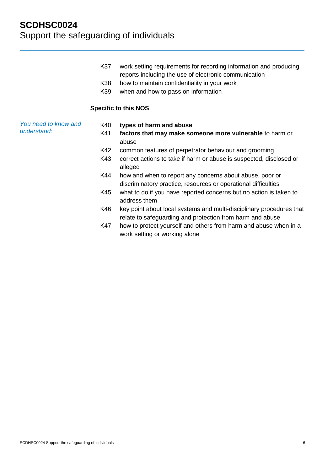- K37 work setting requirements for recording information and producing reports including the use of electronic communication
- K38 how to maintain confidentiality in your work
- K39 when and how to pass on information

#### **Specific to this NOS**

*You need to know and understand:*

- K40 **types of harm and abuse**
	- K41 **factors that may make someone more vulnerable** to harm or abuse
	- K42 common features of perpetrator behaviour and grooming
	- K43 correct actions to take if harm or abuse is suspected, disclosed or alleged
	- K44 how and when to report any concerns about abuse, poor or discriminatory practice, resources or operational difficulties
	- K45 what to do if you have reported concerns but no action is taken to address them
	- K46 key point about local systems and multi-disciplinary procedures that relate to safeguarding and protection from harm and abuse
	- K47 how to protect yourself and others from harm and abuse when in a work setting or working alone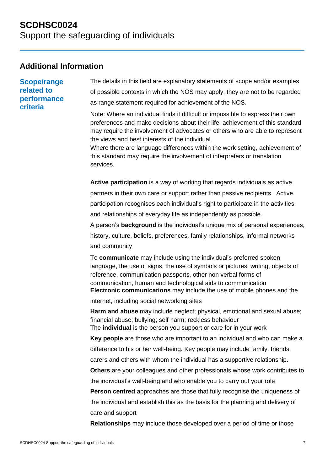## **Additional Information**

**Scope/range related to performance criteria**

The details in this field are explanatory statements of scope and/or examples of possible contexts in which the NOS may apply; they are not to be regarded as range statement required for achievement of the NOS.

Note: Where an individual finds it difficult or impossible to express their own preferences and make decisions about their life, achievement of this standard may require the involvement of advocates or others who are able to represent the views and best interests of the individual.

Where there are language differences within the work setting, achievement of this standard may require the involvement of interpreters or translation services.

**Active participation** is a way of working that regards individuals as active partners in their own care or support rather than passive recipients. Active participation recognises each individual's right to participate in the activities and relationships of everyday life as independently as possible.

A person's **background** is the individual's unique mix of personal experiences, history, culture, beliefs, preferences, family relationships, informal networks and community

To **communicate** may include using the individual's preferred spoken language, the use of signs, the use of symbols or pictures, writing, objects of reference, communication passports, other non verbal forms of communication, human and technological aids to communication **Electronic communications** may include the use of mobile phones and the

internet, including social networking sites

**Harm and abuse** may include neglect; physical, emotional and sexual abuse; financial abuse; bullying; self harm; reckless behaviour The **individual** is the person you support or care for in your work

**Key people** are those who are important to an individual and who can make a

difference to his or her well-being. Key people may include family, friends,

carers and others with whom the individual has a supportive relationship.

**Others** are your colleagues and other professionals whose work contributes to the individual's well-being and who enable you to carry out your role

**Person centred** approaches are those that fully recognise the uniqueness of the individual and establish this as the basis for the planning and delivery of care and support

**Relationships** may include those developed over a period of time or those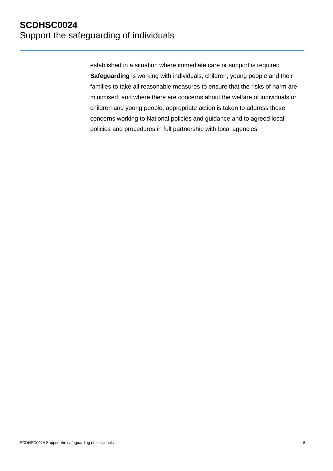established in a situation where immediate care or support is required **Safeguarding** is working with individuals, children, young people and their families to take all reasonable measures to ensure that the risks of harm are minimised; and where there are concerns about the welfare of individuals or children and young people, appropriate action is taken to address those concerns working to National policies and guidance and to agreed local policies and procedures in full partnership with local agencies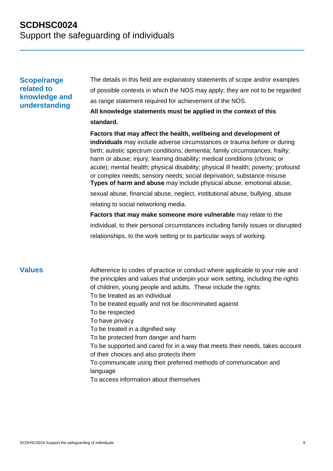## **Scope/range related to knowledge and understanding**

The details in this field are explanatory statements of scope and/or examples of possible contexts in which the NOS may apply; they are not to be regarded as range statement required for achievement of the NOS.

## **All knowledge statements must be applied in the context of this standard.**

**Factors that may affect the health, wellbeing and development of individuals** may include adverse circumstances or trauma before or during birth; autistic spectrum conditions; dementia; family circumstances; frailty; harm or abuse; injury; learning disability; medical conditions (chronic or acute); mental health; physical disability; physical ill health; poverty; profound or complex needs; sensory needs; social deprivation; substance misuse **Types of harm and abuse** may include physical abuse, emotional abuse,

sexual abuse, financial abuse, neglect, institutional abuse, bullying, abuse relating to social networking media.

**Factors that may make someone more vulnerable** may relate to the individual, to their personal circumstances including family issues or disrupted relationships, to the work setting or to particular ways of working.

**Values** Adherence to codes of practice or conduct where applicable to your role and the principles and values that underpin your work setting, including the rights of children, young people and adults. These include the rights: To be treated as an individual To be treated equally and not be discriminated against To be respected To have privacy To be treated in a dignified way To be protected from danger and harm To be supported and cared for in a way that meets their needs, takes account of their choices and also protects them To communicate using their preferred methods of communication and language To access information about themselves